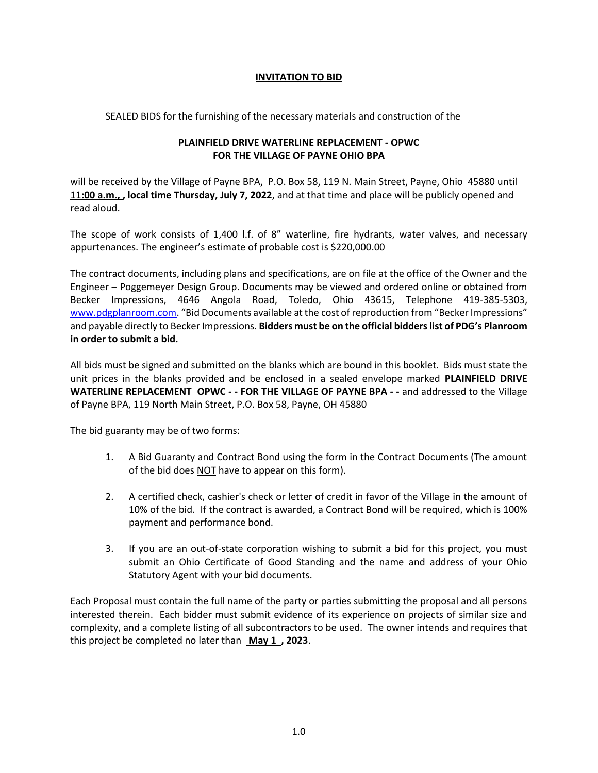## **INVITATION TO BID**

SEALED BIDS for the furnishing of the necessary materials and construction of the

## **PLAINFIELD DRIVE WATERLINE REPLACEMENT - OPWC FOR THE VILLAGE OF PAYNE OHIO BPA**

will be received by the Village of Payne BPA, P.O. Box 58, 119 N. Main Street, Payne, Ohio 45880 until 11**:00 a.m., , local time Thursday, July 7, 2022**, and at that time and place will be publicly opened and read aloud.

The scope of work consists of 1,400 l.f. of 8" waterline, fire hydrants, water valves, and necessary appurtenances. The engineer's estimate of probable cost is \$220,000.00

The contract documents, including plans and specifications, are on file at the office of the Owner and the Engineer – Poggemeyer Design Group. Documents may be viewed and ordered online or obtained from Becker Impressions, 4646 Angola Road, Toledo, Ohio 43615, Telephone 419-385-5303, [www.pdgplanroom.com](http://www.pdgplanroom.com/). "Bid Documents available at the cost of reproduction from "Becker Impressions" and payable directly to Becker Impressions. **Bidders must be on the official bidders list of PDG's Planroom in order to submit a bid.**

All bids must be signed and submitted on the blanks which are bound in this booklet. Bids must state the unit prices in the blanks provided and be enclosed in a sealed envelope marked **PLAINFIELD DRIVE WATERLINE REPLACEMENT OPWC - - FOR THE VILLAGE OF PAYNE BPA - -** and addressed to the Village of Payne BPA, 119 North Main Street, P.O. Box 58, Payne, OH 45880

The bid guaranty may be of two forms:

- 1. A Bid Guaranty and Contract Bond using the form in the Contract Documents (The amount of the bid does NOT have to appear on this form).
- 2. A certified check, cashier's check or letter of credit in favor of the Village in the amount of 10% of the bid. If the contract is awarded, a Contract Bond will be required, which is 100% payment and performance bond.
- 3. If you are an out-of-state corporation wishing to submit a bid for this project, you must submit an Ohio Certificate of Good Standing and the name and address of your Ohio Statutory Agent with your bid documents.

Each Proposal must contain the full name of the party or parties submitting the proposal and all persons interested therein. Each bidder must submit evidence of its experience on projects of similar size and complexity, and a complete listing of all subcontractors to be used. The owner intends and requires that this project be completed no later than **May 1 , 2023**.